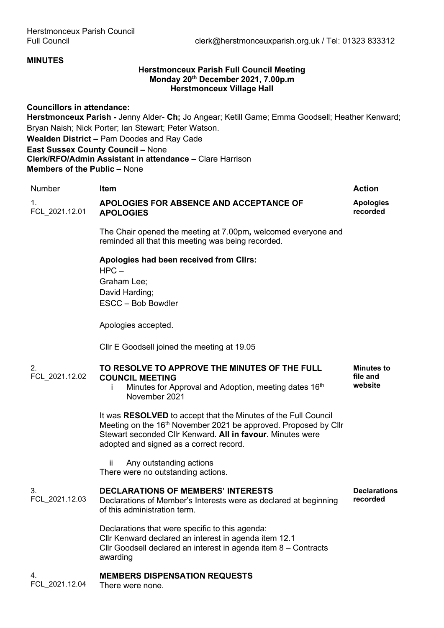### **MINUTES**

### **Herstmonceux Parish Full Council Meeting Monday 20th December 2021, 7.00p.m Herstmonceux Village Hall**

**Councillors in attendance: Herstmonceux Parish -** Jenny Alder- **Ch;** Jo Angear; Ketill Game; Emma Goodsell; Heather Kenward; Bryan Naish; Nick Porter; Ian Stewart; Peter Watson. **Wealden District –** Pam Doodes and Ray Cade

**East Sussex County Council –** None **Clerk/RFO/Admin Assistant in attendance –** Clare Harrison **Members of the Public –** None

| <b>Number</b>        | <b>Item</b>                                                                                                                                                                                                                                            | <b>Action</b>                            |
|----------------------|--------------------------------------------------------------------------------------------------------------------------------------------------------------------------------------------------------------------------------------------------------|------------------------------------------|
| 1.<br>FCL_2021.12.01 | APOLOGIES FOR ABSENCE AND ACCEPTANCE OF<br><b>APOLOGIES</b>                                                                                                                                                                                            | <b>Apologies</b><br>recorded             |
|                      | The Chair opened the meeting at 7.00pm, welcomed everyone and<br>reminded all that this meeting was being recorded.                                                                                                                                    |                                          |
|                      | Apologies had been received from Cllrs:<br>$HPC-$<br>Graham Lee;<br>David Harding;<br>ESCC - Bob Bowdler                                                                                                                                               |                                          |
|                      | Apologies accepted.                                                                                                                                                                                                                                    |                                          |
|                      | CIIr E Goodsell joined the meeting at 19.05                                                                                                                                                                                                            |                                          |
| 2.<br>FCL_2021.12.02 | TO RESOLVE TO APPROVE THE MINUTES OF THE FULL<br><b>COUNCIL MEETING</b><br>Minutes for Approval and Adoption, meeting dates 16 <sup>th</sup><br>November 2021                                                                                          | <b>Minutes to</b><br>file and<br>website |
|                      | It was RESOLVED to accept that the Minutes of the Full Council<br>Meeting on the 16 <sup>th</sup> November 2021 be approved. Proposed by Cllr<br>Stewart seconded Cllr Kenward. All in favour. Minutes were<br>adopted and signed as a correct record. |                                          |
|                      | Any outstanding actions<br>ÎÎ.<br>There were no outstanding actions.                                                                                                                                                                                   |                                          |
| 3.<br>FCL_2021.12.03 | <b>DECLARATIONS OF MEMBERS' INTERESTS</b><br>Declarations of Member's Interests were as declared at beginning<br>of this administration term.                                                                                                          | <b>Declarations</b><br>recorded          |
|                      | Declarations that were specific to this agenda:<br>Cllr Kenward declared an interest in agenda item 12.1<br>Cllr Goodsell declared an interest in agenda item 8 - Contracts<br>awarding                                                                |                                          |
| 4.<br>FCL 2021.12.04 | <b>MEMBERS DISPENSATION REQUESTS</b><br>There were none.                                                                                                                                                                                               |                                          |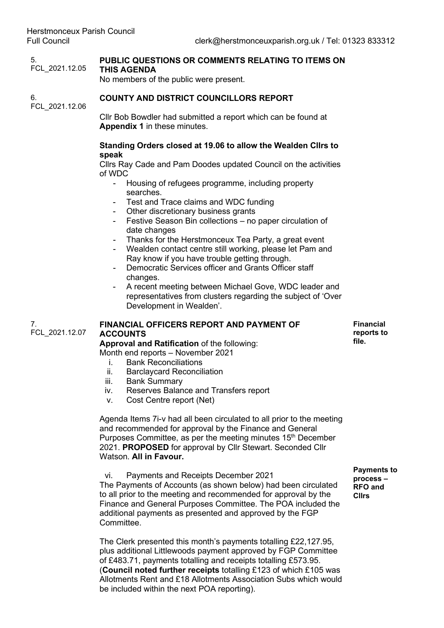5. FCL\_2021.12.05 **PUBLIC QUESTIONS OR COMMENTS RELATING TO ITEMS ON THIS AGENDA** No members of the public were present. 6. FCL\_2021.12.06 **COUNTY AND DISTRICT COUNCILLORS REPORT** Cllr Bob Bowdler had submitted a report which can be found at **Appendix 1** in these minutes. **Standing Orders closed at 19.06 to allow the Wealden Cllrs to speak** Cllrs Ray Cade and Pam Doodes updated Council on the activities of WDC Housing of refugees programme, including property searches. - Test and Trace claims and WDC funding - Other discretionary business grants - Festive Season Bin collections – no paper circulation of date changes - Thanks for the Herstmonceux Tea Party, a great event Wealden contact centre still working, please let Pam and Ray know if you have trouble getting through. Democratic Services officer and Grants Officer staff changes. A recent meeting between Michael Gove, WDC leader and representatives from clusters regarding the subject of 'Over Development in Wealden'. 7. FCL\_2021.12.07 **FINANCIAL OFFICERS REPORT AND PAYMENT OF ACCOUNTS Approval and Ratification** of the following: Month end reports – November 2021 i. Bank Reconciliations<br>ii. Barclavcard Reconcil **Barclaycard Reconciliation** iii. Bank Summary iv. Reserves Balance and Transfers report v. Cost Centre report (Net) Agenda Items 7i-v had all been circulated to all prior to the meeting and recommended for approval by the Finance and General Purposes Committee, as per the meeting minutes 15<sup>th</sup> December 2021. **PROPOSED** for approval by Cllr Stewart. Seconded Cllr Watson. **All in Favour.** vi. Payments and Receipts December 2021 The Payments of Accounts (as shown below) had been circulated **Financial reports to file. process – RFO and** 

to all prior to the meeting and recommended for approval by the Finance and General Purposes Committee. The POA included the additional payments as presented and approved by the FGP Committee.

The Clerk presented this month's payments totalling £22,127.95, plus additional Littlewoods payment approved by FGP Committee of £483.71, payments totalling and receipts totalling £573.95. (**Council noted further receipts** totalling £123 of which £105 was Allotments Rent and £18 Allotments Association Subs which would be included within the next POA reporting).

**Payments to Cllrs**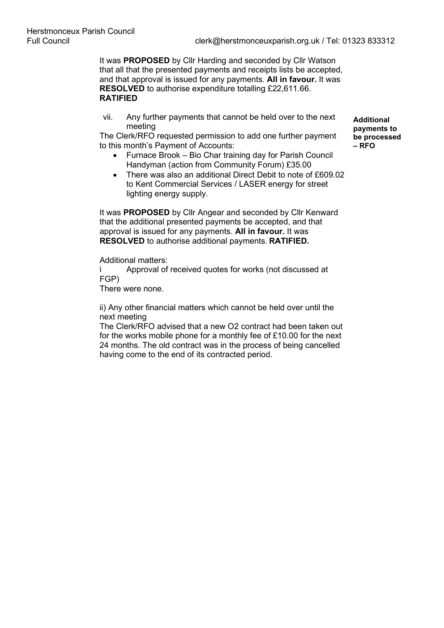It was **PROPOSED** by Cllr Harding and seconded by Cllr Watson that all that the presented payments and receipts lists be accepted, and that approval is issued for any payments. **All in favour.** It was **RESOLVED** to authorise expenditure totalling £22,611.66. **RATIFIED**

vii. Any further payments that cannot be held over to the next meeting

The Clerk/RFO requested permission to add one further payment to this month's Payment of Accounts:

- Furnace Brook Bio Char training day for Parish Council Handyman (action from Community Forum) £35.00
- There was also an additional Direct Debit to note of £609.02 to Kent Commercial Services / LASER energy for street lighting energy supply.

It was **PROPOSED** by Cllr Angear and seconded by Cllr Kenward that the additional presented payments be accepted, and that approval is issued for any payments. **All in favour.** It was **RESOLVED** to authorise additional payments. **RATIFIED.**

Additional matters:

i Approval of received quotes for works (not discussed at FGP)

There were none.

ii) Any other financial matters which cannot be held over until the next meeting

The Clerk/RFO advised that a new O2 contract had been taken out for the works mobile phone for a monthly fee of £10.00 for the next 24 months. The old contract was in the process of being cancelled having come to the end of its contracted period.

**Additional payments to be processed – RFO**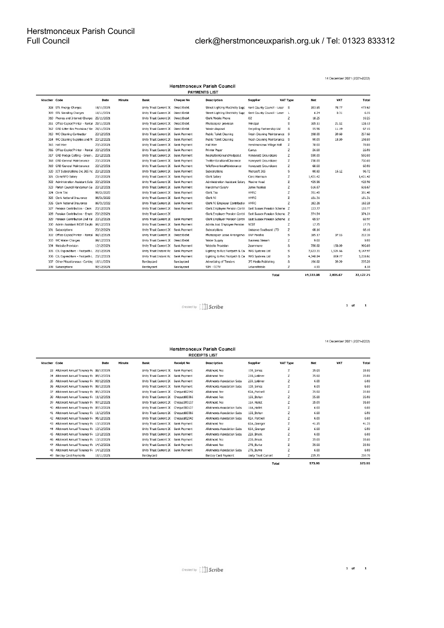| <b>Herstmonceux Parish Council</b><br><b>PAYMENTS LIST</b> |                                              |            |        |                                     |                     |                                                                |                              |          |           |          |           |
|------------------------------------------------------------|----------------------------------------------|------------|--------|-------------------------------------|---------------------|----------------------------------------------------------------|------------------------------|----------|-----------|----------|-----------|
| Voucher Code                                               |                                              | Date       | Minute | <b>Bank</b>                         | <b>Cheque No</b>    | <b>Description</b>                                             | <b>Supplier</b>              | VAT Type | Net       | VAT      | Total     |
|                                                            | 308 STL Energy Charges                       | 16/11/2021 |        | Unity Trust Current 2( Direct Debit |                     | Street Lighting Electricity Supp Kent County Council - Laser S |                              |          | 393.85    | 78.77    | 472.62    |
|                                                            | 309 STL Standing Charges                     | 16/11/2021 |        | Unity Trust Current 20              | Direct Debit        | <b>Street Lighting Electricity Supp</b>                        | Kent County Council - Laser  | <b>L</b> | 6.24      | 0.31     | 6.55      |
| 310                                                        | Phones and Internet Charge: 25/11/2021       |            |        | Unity Trust Current 20              | Direct Debit        | Clerk Mobile Phone                                             | O <sub>2</sub>               | z        | 18.25     |          | 18.25     |
|                                                            | 311 Office Copier/Printer - Rental           | 29/11/2021 |        | Unity Trust Current 20              | Direct Debit        | Photocopier provision                                          | Principal                    | s        | 105.11    | 21.02    | 126.13    |
|                                                            | 312 GRD Litter Bin Provision / Re 26/11/2021 |            |        | Unity Trust Current 20              | Direct Debit        | Waste disposal                                                 | Recycling Partnership Ltd    | s        | 55.96     | 11.19    | 67.15     |
|                                                            | 313 WC Cleaning Contractor                   | 23/12/2021 |        | Unity Trust Current 20              | <b>Bank Payment</b> | Public Toilet Cleaning                                         | Fresh Cleaning Maintenance S |          | 198.00    | 39.60    | 237.60    |
| 314                                                        | WC Cleaning Supplies and M 23/12/2021        |            |        | Unity Trust Current 20              | Bank Payment        | Public Toilet Cleaning                                         | Fresh Cleaning Maintenance S |          | 90.00     | 18.00    | 108.00    |
| 315                                                        | Hall Hire                                    | 23/12/2021 |        | Unity Trust Current 20              | Bank Payment        | Hall Hire                                                      | Herstmonceux Village Hall    | z        | 78.00     |          | 78.00     |
|                                                            | 316 Office Copier/Printer - Rental           | 23/12/2021 |        | Unity Trust Current 20              | <b>Bank Payment</b> | Printer Paper                                                  | Currys                       | Z        | 26.00     |          | 26.00     |
|                                                            | 317 GRD Hedge Cutting - Green , 23/12/2021   |            |        | Unity Trust Current 20              | Bank Payment        | RecreationGroundHedgecut                                       | Honeysett Groundcare         | z        | 550.00    |          | 550.00    |
| 318                                                        | <b>GRD General Maintenance</b>               | 23/12/2021 |        | Unity Trust Current 20              | Bank Payment        | TwittenScrublandClearance                                      | Honeysett Groundcare         | z        | 730.00    |          | 730.00    |
| 319                                                        | <b>GRD General Maintenance</b>               | 23/12/2021 |        | Unity Trust Current 20              | <b>Bank Payment</b> | WildflowerAreaMaintenance                                      | Honeysett Groundcare         | Z        | 60.00     |          | 60.00     |
|                                                            | 320 ICT Subscriptions Inc 365 hc 23/12/2021  |            |        | Unity Trust Current 20              | Bank Payment        | Subscriptions                                                  | Microsoft 365                | s        | 80.60     | 16.12    | 96.72     |
|                                                            | 321 Clerk/RFO Salary                         | 23/12/2021 |        | Unity Trust Current 20              | <b>Bank Payment</b> | Clerk Salary                                                   | Clare Harrison               | z        | 1,421.42  |          | 1,421.42  |
|                                                            | 322 Administration Assistant Sala            | 23/12/2021 |        | Unity Trust Current 20              | <b>Bank Payment</b> | Administration Assistant Salary                                | Maxine Hoad                  | z        | 425.98    |          | 425.98    |
| 323                                                        | Parish Council Handyman Sa 23/12/2021        |            |        | Unity Trust Current 20              | <b>Bank Payment</b> | Handyman Salary                                                | Jamie Noakes                 | z        | 616.67    |          | 616.67    |
|                                                            | 324 Clerk Tax                                | 06/01/2022 |        | Unity Trust Current 20              | Bank Payment        | Clerk Tax                                                      | <b>HMRC</b>                  | Z        | 351.40    |          | 351.40    |
| 325                                                        | Clerk National Insurance                     | 06/01/2022 |        | Unity Trust Current 20              | Bank Payment        | Clerk NI                                                       | <b>HMRC</b>                  | z        | 151.31    |          | 151.31    |
|                                                            | 326 Clerk National Insurance                 | 06/01/2022 |        | Unity Trust Current 20 Bank Payment |                     | Clerk NI Employer Contribution                                 | <b>HMRC</b>                  | Z        | 182.28    |          | 182.28    |
| 327                                                        | Pension Contribution - Clerk                 | 23/12/2021 |        | Unity Trust Current 20 Bank Payment |                     | Clerk Employee Pension Contri East Sussex Pension Scheme Z     |                              |          | 133.77    |          | 133.77    |
| 328                                                        | Pension Contribution - Emple 23/12/2021      |            |        | Unity Trust Current 20              |                     | Clerk Employer Pension Contri                                  | East Sussex Pension Scheme Z |          | 374.54    |          | 374.54    |
| 329                                                        | Pension Contribution 2nd Rat                 | 23/12/2021 |        | Unity Trust Current 20              | Bank Payment        | Clerk Employer Pension Contri                                  | East Sussex Pension Scheme Z |          | 69.97     |          | 69.97     |
| 330                                                        | Admin Assistant NEST Emplo 06/12/2021        |            |        | Unity Trust Current 20              | <b>Bank Payment</b> | Admin Asst Employee Pension                                    | <b>NEST</b>                  | z        | 17.75     |          | 17.75     |
|                                                            | 331 Subscriptions                            | 23/12/2021 |        | Unity Trust Current 20              | Bank Payment        | Subscriptions                                                  | Uniserve Southeast LTD       | z        | 68.16     |          | 68.16     |
|                                                            | 332 Office Copier/Printer - Rental           | 08/12/2021 |        | Unity Trust Current 2(              | Direct Debit        | Photocopier Lease Arrangemer                                   | <b>BNP Parabis</b>           | s        | 185.17    | 37.03    | 222.20    |
| 333                                                        | WC Water Charges                             | 09/12/2021 |        | Unity Trust Current 20              | Direct Debit        | Water Supply                                                   | <b>Business Stream</b>       | Z        | 9.00      |          | 9.00      |
|                                                            | 334 Website Provision                        | 12/12/2021 |        | Unity Trust Current 20              | <b>Bank Payment</b> | Website Provision                                              | Zcommune                     | s        | 750.00    | 150.00   | 900.00    |
| 335                                                        | CIL Expenditure - Footpath L                 | 23/12/2021 |        | Unity Trust Instant Ac              | <b>Bank Payment</b> | Lighting to Rec Footpath & Car MAS Systems Ltd                 |                              | s        | 7,623.31  | 1,524.66 | 9,147.97  |
| 336                                                        | CIL Expenditure - Footpath L 23/12/2021      |            |        | Unity Trust Instant Ac              | <b>Bank Payment</b> | Lighting to Rec Footpath & Cai MAS Systems Ltd                 |                              | s        | 4,348.84  | 869.77   | 5,218.61  |
| 337                                                        | Other Miscellaneous -Conting 16/11/2021      |            |        | Barclaycard                         | Barclaycard         | Advertising of Tenders                                         | JPI Media Publishing         | s        | 196.00    | 39.20    | 235.20    |
|                                                            | 338 Subscriptions                            | 07/12/2021 |        | Barclaycard                         | Barclaycard         | SIM - CCTV                                                     | LebaraMobile                 | Z        | 4.50      |          | 4.50      |
|                                                            |                                              |            |        |                                     |                     |                                                                | Total                        |          | 19,322.08 | 2.805.67 | 22,127.75 |

14 December 2021 (2021-2022)

Created by  $\iiint$  Scribe

 $\begin{array}{cccc} \textbf{1} & \textbf{of} & \textbf{1} \end{array}$ 

14 December 2021 (2021-2022)

| <b>RECEIPTS LIST</b> |                                           |            |        |                                      |                     |                             |                     |                |        |     |             |
|----------------------|-------------------------------------------|------------|--------|--------------------------------------|---------------------|-----------------------------|---------------------|----------------|--------|-----|-------------|
| Voucher Code         |                                           | Date       | Minute | Bank                                 | <b>Receipt No</b>   | <b>Description</b>          | <b>Supplier</b>     | VAT Type       | Net    | VAT | <b>Tota</b> |
|                      | 33 Allotment Annual Tenancy Ft 09/12/2021 |            |        | Unity Trust Current 20               | Bank Payment        | Allotment Fee               | 12B_Simes           | z              | 35.00  |     | 35.00       |
|                      | 34 Allotment Annual Tenancy Ft 09/12/2021 |            |        | Unity Trust Current 20               | <b>Bank Payment</b> | Allotment Fee               | 25B Latimer         | z              | 35.00  |     | 35.00       |
|                      | 35 Allotment Annual Tenancy F 09/12/2021  |            |        | Unity Trust Current 20               | <b>Bank Payment</b> | Allotments Association Subs | 25B Latimer         | z              | 6.00   |     | 6.00        |
|                      | 36 Allotment Annual Tenancy Fr 09/12/2021 |            |        | Unity Trust Current 2( Bank Payment  |                     | Allotments Association Subs | 12B Simes           | z              | 6.00   |     | 6.00        |
|                      | 37 Allotment Annual Tenancy Ft 05/12/2021 |            |        | Unity Trust Current 2( Cheque102542  |                     | Allotment Fee               | 02A Portnell        | Z              | 35.00  |     | 35.00       |
|                      | 38 Allotment Annual Tenancy Fe 11/12/2021 |            |        | Unity Trust Current 2( Cheque100386  |                     | Allotment Fee               | 15B Bolton          | z              | 35.00  |     | 35.00       |
|                      | 39 Allotment Annual Tenancy F  07/12/2021 |            |        | Unity Trust Current 2( Cheque300137  |                     | Allotment Fee               | 11A Hallet          |                | 35.00  |     | 35.00       |
|                      | 40 Allotment Annual Tenancy Ft 07/12/2021 |            |        | Unity Trust Current 2( Cheque 300137 |                     | Allotments Association Subs | 11A_Hallet          | Z              | 6.00   |     | 6.00        |
|                      | 41 Allotment Annual Tenancy Ft 11/12/2021 |            |        | Unity Trust Current 20 Cheque 100386 |                     | Allotments Association Subs | 15B Bolton          | z              | 6.00   |     | 6.00        |
|                      | 42 Allotment Annual Tenancy F 05/12/2021  |            |        | Unity Trust Current 2( Cheque102542  |                     | Allotments Association Subs | 02A Portnell        | z              | 6.00   |     | 6.00        |
|                      | 43 Allotment Annual Tenancy Ft 13/12/2021 |            |        | Unity Trust Current 2( Bank Payment  |                     | Allotment Fee               | 05A_Granger         |                | 41.25  |     | 41.25       |
|                      | 44 Allotment Annual Tenancy Ft 13/12/2021 |            |        | Unity Trust Current 20               | Bank Payment        | Allotments Association Subs | 05A_Granger         |                | 6.00   |     | 6.00        |
|                      | 45 Allotment Annual Tenancy F( 13/12/2021 |            |        | Unity Trust Current 20               | Bank Payment        | Allotments Association Subs | 22B Brook           |                | 6.00   |     | 6.00        |
|                      | 46 Allotment Annual Tenancy Fr 13/12/2021 |            |        | Unity Trust Current 20               | Bank Payment        | Allotment Fee               | 22B Brook           |                | 35.00  |     | 35.00       |
|                      | 47 Allotment Annual Tenancy Ft 14/12/2021 |            |        | Unity Trust Current 2( Bank Payment  |                     | Allotment Fee               | 27B Burke           |                | 35.00  |     | 35.00       |
|                      | 48 Allotment Annual Tenancy Fi 14/12/2021 |            |        | Unity Trust Current 20 Bank Payment  |                     | Allotments Association Subs | 27B Burke           | $\overline{7}$ | 6.00   |     | 6.00        |
|                      | 49 Barclay Card Payments                  | 16/11/2021 |        | Barclaycard                          |                     | Barclay Card Payment        | Unity Trust Current | z              | 239.70 |     | 239.70      |
|                      |                                           |            |        |                                      |                     |                             |                     | <b>Total</b>   | 573.95 |     | 573.95      |

### Herstmonceux Parish Council

 $1$  of  $1$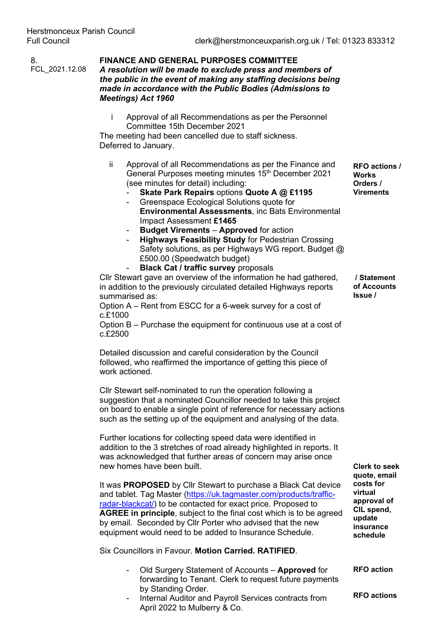8.

### FCL\_2021.12.08 **FINANCE AND GENERAL PURPOSES COMMITTEE**  *A resolution will be made to exclude press and members of the public in the event of making any staffing decisions being made in accordance with the Public Bodies (Admissions to Meetings) Act 1960*

i Approval of all Recommendations as per the Personnel Committee 15th December 2021

The meeting had been cancelled due to staff sickness. Deferred to January.

- ii Approval of all Recommendations as per the Finance and General Purposes meeting minutes 15th December 2021 (see minutes for detail) including:
	- **Skate Park Repairs** options **Quote A @ £1195**
	- Greenspace Ecological Solutions quote for **Environmental Assessments**, inc Bats Environmental Impact Assessment **£1465**
	- **Budget Virements Approved** for action
	- **Highways Feasibility Study** for Pedestrian Crossing Safety solutions, as per Highways WG report. Budget @ £500.00 (Speedwatch budget)
	- **Black Cat / traffic survey** proposals

Cllr Stewart gave an overview of the information he had gathered, in addition to the previously circulated detailed Highways reports summarised as:

Option A – Rent from ESCC for a 6-week survey for a cost of c.£1000

Option B – Purchase the equipment for continuous use at a cost of c.£2500

Detailed discussion and careful consideration by the Council followed, who reaffirmed the importance of getting this piece of work actioned.

Cllr Stewart self-nominated to run the operation following a suggestion that a nominated Councillor needed to take this project on board to enable a single point of reference for necessary actions such as the setting up of the equipment and analysing of the data.

Further locations for collecting speed data were identified in addition to the 3 stretches of road already highlighted in reports. It was acknowledged that further areas of concern may arise once new homes have been built.

It was **PROPOSED** by Cllr Stewart to purchase a Black Cat device and tablet. Tag Master [\(https://uk.tagmaster.com/products/traffic](https://uk.tagmaster.com/products/traffic-radar-blackcat/)[radar-blackcat/\)](https://uk.tagmaster.com/products/traffic-radar-blackcat/) to be contacted for exact price. Proposed to **AGREE in principle**, subject to the final cost which is to be agreed by email. Seconded by Cllr Porter who advised that the new equipment would need to be added to Insurance Schedule.

Six Councillors in Favour. **Motion Carried. RATIFIED**.

- Old Surgery Statement of Accounts **Approved** for forwarding to Tenant. Clerk to request future payments by Standing Order.
- Internal Auditor and Payroll Services contracts from April 2022 to Mulberry & Co.

**RFO actions / Works Orders / Virements**

**/ Statement of Accounts Issue /** 

**Clerk to seek quote, email costs for virtual approval of CIL spend, update insurance schedule**

**RFO action**

**RFO actions**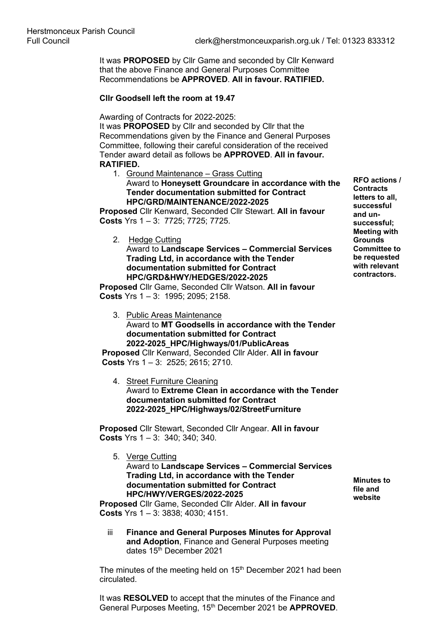It was **PROPOSED** by Cllr Game and seconded by Cllr Kenward that the above Finance and General Purposes Committee Recommendations be **APPROVED**. **All in favour. RATIFIED.**

### **Cllr Goodsell left the room at 19.47**

Awarding of Contracts for 2022-2025:

It was **PROPOSED** by Cllr and seconded by Cllr that the Recommendations given by the Finance and General Purposes Committee, following their careful consideration of the received Tender award detail as follows be **APPROVED**. **All in favour. RATIFIED.**

1. Ground Maintenance – Grass Cutting Award to **Honeysett Groundcare in accordance with the Tender documentation submitted for Contract HPC/GRD/MAINTENANCE/2022-2025**

**Proposed** Cllr Kenward, Seconded Cllr Stewart. **All in favour Costs** Yrs 1 – 3: 7725; 7725; 7725.

2. Hedge Cutting

Award to **Landscape Services – Commercial Services Trading Ltd, in accordance with the Tender documentation submitted for Contract HPC/GRD&HWY/HEDGES/2022-2025**

**Proposed** Cllr Game, Seconded Cllr Watson. **All in favour Costs** Yrs 1 – 3:1995; 2095; 2158.

3. Public Areas Maintenance Award to **MT Goodsells in accordance with the Tender documentation submitted for Contract 2022-2025\_HPC/Highways/01/PublicAreas**

**Proposed** Cllr Kenward, Seconded Cllr Alder. **All in favour Costs** Yrs 1 – 3:2525; 2615; 2710.

4. Street Furniture Cleaning Award to **Extreme Clean in accordance with the Tender documentation submitted for Contract 2022-2025\_HPC/Highways/02/StreetFurniture**

**Proposed** Cllr Stewart, Seconded Cllr Angear. **All in favour Costs** Yrs 1 – 3:340; 340; 340.

5. Verge Cutting Award to **Landscape Services – Commercial Services Trading Ltd, in accordance with the Tender documentation submitted for Contract HPC/HWY/VERGES/2022-2025**

**Minutes to file and website**

**Proposed** Cllr Game, Seconded Cllr Alder. **All in favour Costs** Yrs 1 – 3: 3838; 4030; 4151.

iii **Finance and General Purposes Minutes for Approval and Adoption**, Finance and General Purposes meeting dates 15th December 2021

The minutes of the meeting held on 15<sup>th</sup> December 2021 had been circulated.

It was **RESOLVED** to accept that the minutes of the Finance and General Purposes Meeting, 15<sup>th</sup> December 2021 be **APPROVED**. **RFO actions / Contracts letters to all, successful and unsuccessful; Meeting with Grounds Committee to be requested with relevant contractors.**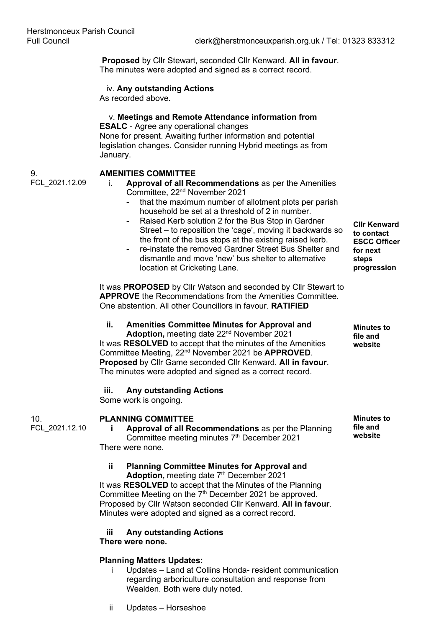**Proposed** by Cllr Stewart, seconded Cllr Kenward. **All in favour**. The minutes were adopted and signed as a correct record.

### iv. **Any outstanding Actions**

As recorded above.

### v. **Meetings and Remote Attendance information from ESALC** - Agree any operational changes

None for present. Awaiting further information and potential legislation changes. Consider running Hybrid meetings as from January.

### 9. FCL\_2021.12.09

### **AMENITIES COMMITTEE**

### i. **Approval of all Recommendations** as per the Amenities Committee, 22nd November 2021

- that the maximum number of allotment plots per parish household be set at a threshold of 2 in number.
- Raised Kerb solution 2 for the Bus Stop in Gardner Street – to reposition the 'cage', moving it backwards so the front of the bus stops at the existing raised kerb.
- re-instate the removed Gardner Street Bus Shelter and dismantle and move 'new' bus shelter to alternative location at Cricketing Lane.

It was **PROPOSED** by Cllr Watson and seconded by Cllr Stewart to **APPROVE** the Recommendations from the Amenities Committee. One abstention. All other Councillors in favour. **RATIFIED**

# **ii. Amenities Committee Minutes for Approval and**

**Adoption,** meeting date 22nd November 2021 It was **RESOLVED** to accept that the minutes of the Amenities Committee Meeting, 22nd November 2021 be **APPROVED**. **Proposed** by Cllr Game seconded Cllr Kenward. **All in favour**. The minutes were adopted and signed as a correct record.

### **iii. Any outstanding Actions**

Some work is ongoing.

#### 10. **PLANNING COMMITTEE**

FCL\_2021.12.10

### **i Approval of all Recommendations** as per the Planning Committee meeting minutes 7<sup>th</sup> December 2021 There were none.

### **ii Planning Committee Minutes for Approval and**

Adoption, meeting date 7<sup>th</sup> December 2021 It was **RESOLVED** to accept that the Minutes of the Planning Committee Meeting on the  $7<sup>th</sup>$  December 2021 be approved. Proposed by Cllr Watson seconded Cllr Kenward. **All in favour**. Minutes were adopted and signed as a correct record.

### **iii Any outstanding Actions**

### **There were none.**

### **Planning Matters Updates:**

i Updates – Land at Collins Honda- resident communication regarding arboriculture consultation and response from Wealden. Both were duly noted.

**Cllr Kenward to contact ESCC Officer for next steps progression**

**Minutes to file and website**

**Minutes to file and website**

ii Updates – Horseshoe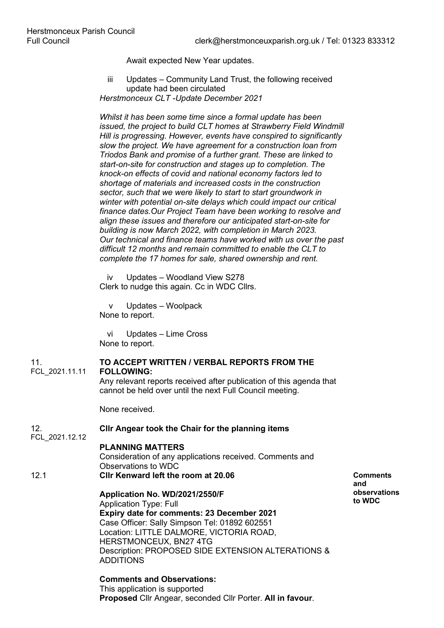Await expected New Year updates.

iii Updates – Community Land Trust, the following received update had been circulated *Herstmonceux CLT -Update December 2021*

*Whilst it has been some time since a formal update has been issued, the project to build CLT homes at Strawberry Field Windmill Hill is progressing. However, events have conspired to significantly slow the project. We have agreement for a construction loan from Triodos Bank and promise of a further grant. These are linked to start-on-site for construction and stages up to completion. The knock-on effects of covid and national economy factors led to shortage of materials and increased costs in the construction sector, such that we were likely to start to start groundwork in winter with potential on-site delays which could impact our critical finance dates.Our Project Team have been working to resolve and align these issues and therefore our anticipated start-on-site for building is now March 2022, with completion in March 2023. Our technical and finance teams have worked with us over the past difficult 12 months and remain committed to enable the CLT to complete the 17 homes for sale, shared ownership and rent.*

iv Updates – Woodland View S278 Clerk to nudge this again. Cc in WDC Cllrs.

v Updates – Woolpack None to report.

vi Updates – Lime Cross None to report.

#### 11. **TO ACCEPT WRITTEN / VERBAL REPORTS FROM THE**

FCL\_2021.11.11 **FOLLOWING:**

Any relevant reports received after publication of this agenda that cannot be held over until the next Full Council meeting.

None received.

#### 12. **Cllr Angear took the Chair for the planning items**

FCL\_2021.12.12

### **PLANNING MATTERS**

Consideration of any applications received. Comments and Observations to WDC 12.1 **Cllr Kenward left the room at 20.06**

### **Application No. WD/2021/2550/F**

Application Type: Full **Expiry date for comments: 23 December 2021**  Case Officer: Sally Simpson Tel: 01892 602551 Location: LITTLE DALMORE, VICTORIA ROAD, HERSTMONCEUX, BN27 4TG Description: PROPOSED SIDE EXTENSION ALTERATIONS & ADDITIONS

**Comments and Observations:**

This application is supported **Proposed** Cllr Angear, seconded Cllr Porter. **All in favour**.

**Comments and observations to WDC**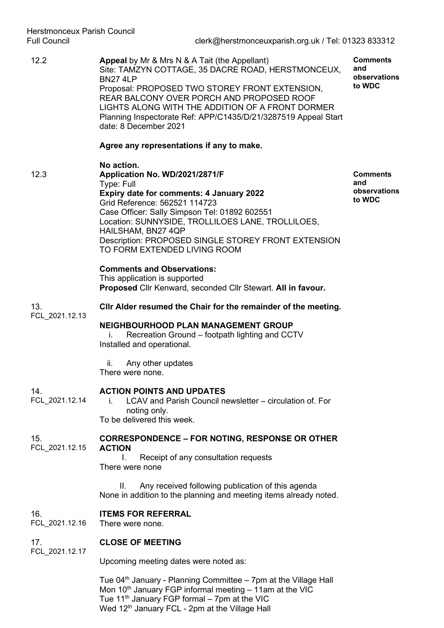12.2 **Appeal** by Mr & Mrs N & A Tait (the Appellant) Site: TAMZYN COTTAGE, 35 DACRE ROAD, HERSTMONCEUX, BN27 4LP Proposal: PROPOSED TWO STOREY FRONT EXTENSION, REAR BALCONY OVER PORCH AND PROPOSED ROOF LIGHTS ALONG WITH THE ADDITION OF A FRONT DORMER Planning Inspectorate Ref: APP/C1435/D/21/3287519 Appeal Start date: 8 December 2021 **Comments and observations to WDC**

**Agree any representations if any to make.**

**No action.**  12.3 **Application No. WD/2021/2871/F**  Type: Full **Expiry date for comments: 4 January 2022**  Grid Reference: 562521 114723 Case Officer: Sally Simpson Tel: 01892 602551 Location: SUNNYSIDE, TROLLILOES LANE, TROLLILOES, HAILSHAM, BN27 4QP Description: PROPOSED SINGLE STOREY FRONT EXTENSION TO FORM EXTENDED LIVING ROOM

**Comments and observations to WDC**

### **Comments and Observations:**

This application is supported **Proposed** Cllr Kenward, seconded Cllr Stewart. **All in favour.**

13. FCL\_2021.12.13 **Cllr Alder resumed the Chair for the remainder of the meeting.**

### **NEIGHBOURHOOD PLAN MANAGEMENT GROUP**

i. Recreation Ground – footpath lighting and CCTV Installed and operational.

ii. Any other updates There were none.

#### 14. **ACTION POINTS AND UPDATES**

i. LCAV and Parish Council newsletter – circulation of. For noting only. To be delivered this week.

#### 15. FCL\_2021.12.15 **CORRESPONDENCE – FOR NOTING, RESPONSE OR OTHER ACTION**

I. Receipt of any consultation requests There were none

II. Any received following publication of this agenda None in addition to the planning and meeting items already noted.

#### 16. **ITEMS FOR REFERRAL**

FCL\_2021.12.16 There were none.

#### 17. **CLOSE OF MEETING**

FCL\_2021.12.17

FCL\_2021.12.14

Upcoming meeting dates were noted as:

Tue  $04<sup>th</sup>$  January - Planning Committee – 7pm at the Village Hall Mon  $10<sup>th</sup>$  January FGP informal meeting  $-11$ am at the VIC Tue 11<sup>th</sup> January FGP formal - 7pm at the VIC Wed 12<sup>th</sup> January FCL - 2pm at the Village Hall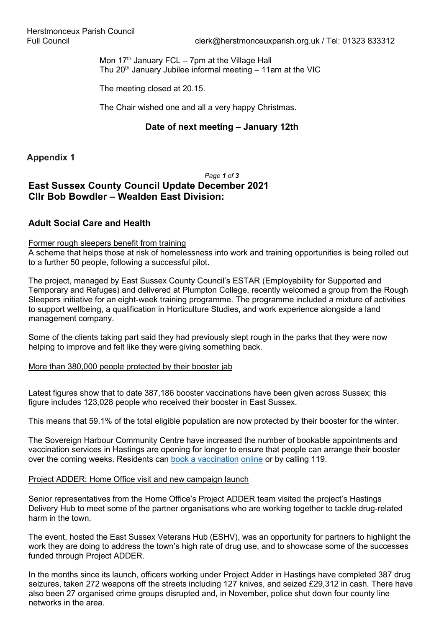Mon  $17<sup>th</sup>$  January FCL – 7pm at the Village Hall Thu  $20<sup>th</sup>$  January Jubilee informal meeting  $-11$ am at the VIC

The meeting closed at 20.15.

The Chair wished one and all a very happy Christmas.

## **Date of next meeting – January 12th**

**Appendix 1**

### *Page 1 of 3* **East Sussex County Council Update December 2021 Cllr Bob Bowdler – Wealden East Division:**

# **Adult Social Care and Health**

### Former rough sleepers benefit from training

A scheme that helps those at risk of homelessness into work and training opportunities is being rolled out to a further 50 people, following a successful pilot.

The project, managed by East Sussex County Council's ESTAR (Employability for Supported and Temporary and Refuges) and delivered at Plumpton College, recently welcomed a group from the Rough Sleepers initiative for an eight-week training programme. The programme included a mixture of activities to support wellbeing, a qualification in Horticulture Studies, and work experience alongside a land management company.

Some of the clients taking part said they had previously slept rough in the parks that they were now helping to improve and felt like they were giving something back.

### More than 380,000 people protected by their booster jab

Latest figures show that to date 387,186 booster vaccinations have been given across Sussex; this figure includes 123,028 people who received their booster in East Sussex.

This means that 59.1% of the total eligible population are now protected by their booster for the winter.

The Sovereign Harbour Community Centre have increased the number of bookable appointments and vaccination services in Hastings are opening for longer to ensure that people can arrange their booster over the coming weeks. Residents can book a vaccination online or by calling 119.

### Project ADDER: Home Office visit and new campaign launch

Senior representatives from the Home Office's Project ADDER team visited the project's Hastings Delivery Hub to meet some of the partner organisations who are working together to tackle drug-related harm in the town.

The event, hosted the East Sussex Veterans Hub (ESHV), was an opportunity for partners to highlight the work they are doing to address the town's high rate of drug use, and to showcase some of the successes funded through Project ADDER.

In the months since its launch, officers working under Project Adder in Hastings have completed 387 drug seizures, taken 272 weapons off the streets including 127 knives, and seized £29,312 in cash. There have also been 27 organised crime groups disrupted and, in November, police shut down four county line networks in the area.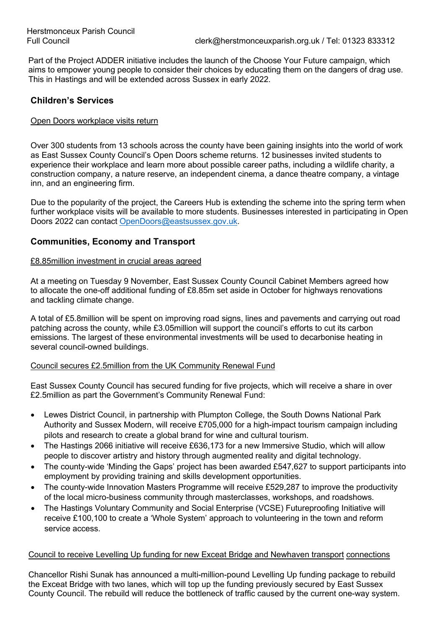Part of the Project ADDER initiative includes the launch of the Choose Your Future campaign, which aims to empower young people to consider their choices by educating them on the dangers of drag use. This in Hastings and will be extended across Sussex in early 2022.

## **Children's Services**

### Open Doors workplace visits return

Over 300 students from 13 schools across the county have been gaining insights into the world of work as East Sussex County Council's Open Doors scheme returns. 12 businesses invited students to experience their workplace and learn more about possible career paths, including a wildlife charity, a construction company, a nature reserve, an independent cinema, a dance theatre company, a vintage inn, and an engineering firm.

Due to the popularity of the project, the Careers Hub is extending the scheme into the spring term when further workplace visits will be available to more students. Businesses interested in participating in Open Doors 2022 can contact [OpenDoors@eastsussex.gov.uk.](mailto:OpenDoors@eastsussex.gov.uk)

# **Communities, Economy and Transport**

### £8.85million investment in crucial areas agreed

At a meeting on Tuesday 9 November, East Sussex County Council Cabinet Members agreed how to allocate the one-off additional funding of £8.85m set aside in October for highways renovations and tackling climate change.

A total of £5.8million will be spent on improving road signs, lines and pavements and carrying out road patching across the county, while £3.05million will support the council's efforts to cut its carbon emissions. The largest of these environmental investments will be used to decarbonise heating in several council-owned buildings.

### Council secures £2.5million from the UK Community Renewal Fund

East Sussex County Council has secured funding for five projects, which will receive a share in over £2.5million as part the Government's Community Renewal Fund:

- Lewes District Council, in partnership with Plumpton College, the South Downs National Park Authority and Sussex Modern, will receive £705,000 for a high-impact tourism campaign including pilots and research to create a global brand for wine and cultural tourism.
- The Hastings 2066 initiative will receive £636,173 for a new Immersive Studio, which will allow people to discover artistry and history through augmented reality and digital technology.
- The county-wide 'Minding the Gaps' project has been awarded £547,627 to support participants into employment by providing training and skills development opportunities.
- The county-wide Innovation Masters Programme will receive £529,287 to improve the productivity of the local micro-business community through masterclasses, workshops, and roadshows.
- The Hastings Voluntary Community and Social Enterprise (VCSE) Futureproofing Initiative will receive £100,100 to create a 'Whole System' approach to volunteering in the town and reform service access.

### Council to receive Levelling Up funding for new Exceat Bridge and Newhaven transport connections

Chancellor Rishi Sunak has announced a multi-million-pound Levelling Up funding package to rebuild the Exceat Bridge with two lanes, which will top up the funding previously secured by East Sussex County Council. The rebuild will reduce the bottleneck of traffic caused by the current one-way system.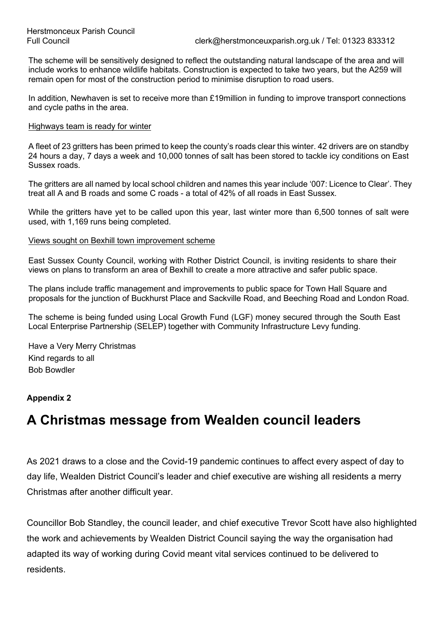The scheme will be sensitively designed to reflect the outstanding natural landscape of the area and will include works to enhance wildlife habitats. Construction is expected to take two years, but the A259 will remain open for most of the construction period to minimise disruption to road users.

In addition, Newhaven is set to receive more than £19million in funding to improve transport connections and cycle paths in the area.

### Highways team is ready for winter

A fleet of 23 gritters has been primed to keep the county's roads clear this winter. 42 drivers are on standby 24 hours a day, 7 days a week and 10,000 tonnes of salt has been stored to tackle icy conditions on East Sussex roads.

The gritters are all named by local school children and names this year include '007: Licence to Clear'. They treat all A and B roads and some C roads - a total of 42% of all roads in East Sussex.

While the gritters have yet to be called upon this year, last winter more than 6,500 tonnes of salt were used, with 1,169 runs being completed.

### Views sought on Bexhill town improvement scheme

East Sussex County Council, working with Rother District Council, is inviting residents to share their views on plans to transform an area of Bexhill to create a more attractive and safer public space.

The plans include traffic management and improvements to public space for Town Hall Square and proposals for the junction of Buckhurst Place and Sackville Road, and Beeching Road and London Road.

The scheme is being funded using Local Growth Fund (LGF) money secured through the South East Local Enterprise Partnership (SELEP) together with Community Infrastructure Levy funding.

Have a Very Merry Christmas Kind regards to all Bob Bowdler

### **Appendix 2**

# **A Christmas message from Wealden council leaders**

As 2021 draws to a close and the Covid-19 pandemic continues to affect every aspect of day to day life, Wealden District Council's leader and chief executive are wishing all residents a merry Christmas after another difficult year.

Councillor Bob Standley, the council leader, and chief executive Trevor Scott have also highlighted the work and achievements by Wealden District Council saying the way the organisation had adapted its way of working during Covid meant vital services continued to be delivered to residents.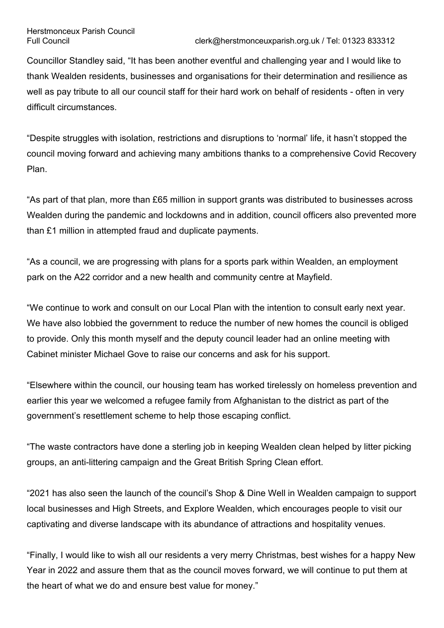Councillor Standley said, "It has been another eventful and challenging year and I would like to thank Wealden residents, businesses and organisations for their determination and resilience as well as pay tribute to all our council staff for their hard work on behalf of residents - often in very difficult circumstances.

"Despite struggles with isolation, restrictions and disruptions to 'normal' life, it hasn't stopped the council moving forward and achieving many ambitions thanks to a comprehensive Covid Recovery Plan.

"As part of that plan, more than £65 million in support grants was distributed to businesses across Wealden during the pandemic and lockdowns and in addition, council officers also prevented more than £1 million in attempted fraud and duplicate payments.

"As a council, we are progressing with plans for a sports park within Wealden, an employment park on the A22 corridor and a new health and community centre at Mayfield.

"We continue to work and consult on our Local Plan with the intention to consult early next year. We have also lobbied the government to reduce the number of new homes the council is obliged to provide. Only this month myself and the deputy council leader had an online meeting with Cabinet minister Michael Gove to raise our concerns and ask for his support.

"Elsewhere within the council, our housing team has worked tirelessly on homeless prevention and earlier this year we welcomed a refugee family from Afghanistan to the district as part of the government's resettlement scheme to help those escaping conflict.

"The waste contractors have done a sterling job in keeping Wealden clean helped by litter picking groups, an anti-littering campaign and the Great British Spring Clean effort.

"2021 has also seen the launch of the council's Shop & Dine Well in Wealden campaign to support local businesses and High Streets, and Explore Wealden, which encourages people to visit our captivating and diverse landscape with its abundance of attractions and hospitality venues.

"Finally, I would like to wish all our residents a very merry Christmas, best wishes for a happy New Year in 2022 and assure them that as the council moves forward, we will continue to put them at the heart of what we do and ensure best value for money."